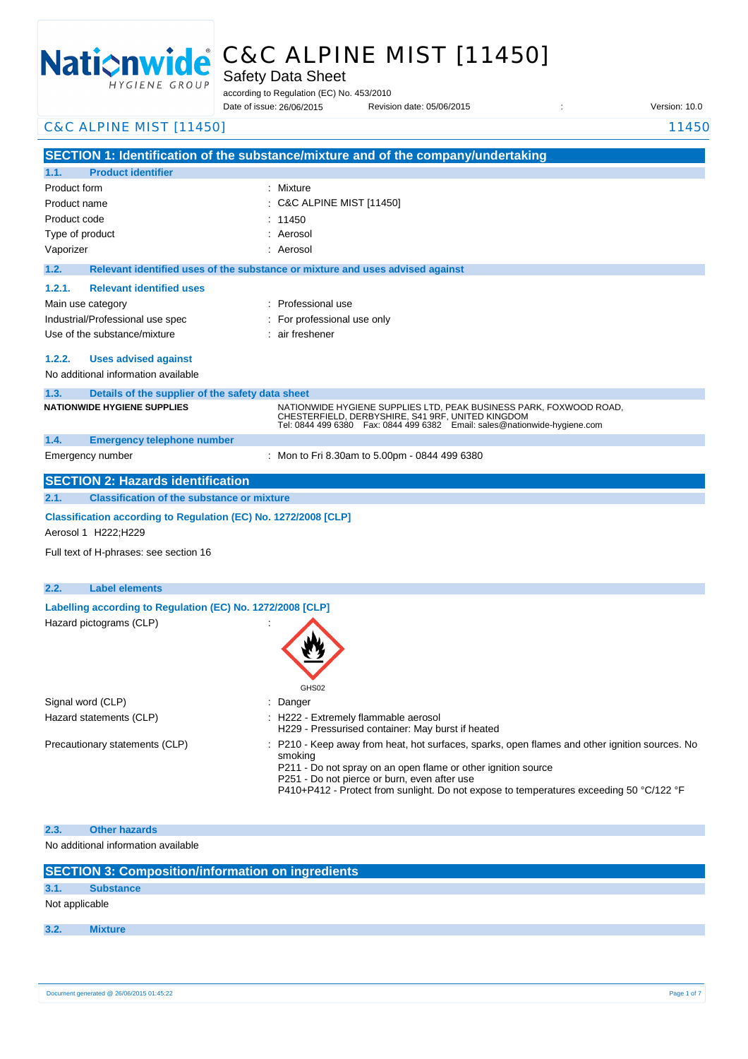

# C&C ALPINE MIST [11450]

Safety Data Sheet

according to Regulation (EC) No. 453/2010

Date of issue: Revision date: 05/06/2015 : Version: 10.0 Date of issue: 26/06/2015

| <b>C&amp;C ALPINE MIST [11450]</b>                                                             | 11450                                                                                                                                                                                                               |
|------------------------------------------------------------------------------------------------|---------------------------------------------------------------------------------------------------------------------------------------------------------------------------------------------------------------------|
|                                                                                                | SECTION 1: Identification of the substance/mixture and of the company/undertaking                                                                                                                                   |
| <b>Product identifier</b><br>1.1.                                                              |                                                                                                                                                                                                                     |
| Product form                                                                                   | : Mixture                                                                                                                                                                                                           |
| Product name                                                                                   | <b>C&amp;C ALPINE MIST [11450]</b>                                                                                                                                                                                  |
| Product code                                                                                   | 11450                                                                                                                                                                                                               |
| Type of product                                                                                | Aerosol                                                                                                                                                                                                             |
| Vaporizer                                                                                      | : Aerosol                                                                                                                                                                                                           |
| 1.2.                                                                                           | Relevant identified uses of the substance or mixture and uses advised against                                                                                                                                       |
| <b>Relevant identified uses</b><br>1.2.1.                                                      |                                                                                                                                                                                                                     |
| Main use category                                                                              | : Professional use                                                                                                                                                                                                  |
| Industrial/Professional use spec                                                               | For professional use only                                                                                                                                                                                           |
| Use of the substance/mixture                                                                   | air freshener                                                                                                                                                                                                       |
| 1.2.2.<br><b>Uses advised against</b>                                                          |                                                                                                                                                                                                                     |
| No additional information available                                                            |                                                                                                                                                                                                                     |
|                                                                                                |                                                                                                                                                                                                                     |
| 1.3.<br>Details of the supplier of the safety data sheet<br><b>NATIONWIDE HYGIENE SUPPLIES</b> |                                                                                                                                                                                                                     |
|                                                                                                | NATIONWIDE HYGIENE SUPPLIES LTD, PEAK BUSINESS PARK, FOXWOOD ROAD,<br>CHESTERFIELD, DERBYSHIRE, S41 9RF, UNITED KINGDOM<br>Tel: 0844 499 6380  Fax: 0844 499 6382  Email: sales@nationwide-hygiene.com              |
| 1.4.<br><b>Emergency telephone number</b>                                                      |                                                                                                                                                                                                                     |
| Emergency number                                                                               | : Mon to Fri 8.30am to 5.00pm - 0844 499 6380                                                                                                                                                                       |
| <b>SECTION 2: Hazards identification</b>                                                       |                                                                                                                                                                                                                     |
| <b>Classification of the substance or mixture</b><br>2.1.                                      |                                                                                                                                                                                                                     |
| Classification according to Regulation (EC) No. 1272/2008 [CLP]<br>Aerosol 1 H222; H229        |                                                                                                                                                                                                                     |
| Full text of H-phrases: see section 16                                                         |                                                                                                                                                                                                                     |
|                                                                                                |                                                                                                                                                                                                                     |
| 2.2.<br><b>Label elements</b>                                                                  |                                                                                                                                                                                                                     |
| Labelling according to Regulation (EC) No. 1272/2008 [CLP]                                     |                                                                                                                                                                                                                     |
| Hazard pictograms (CLP)                                                                        |                                                                                                                                                                                                                     |
|                                                                                                |                                                                                                                                                                                                                     |
|                                                                                                | GHS02                                                                                                                                                                                                               |
| Signal word (CLP)                                                                              | Danger                                                                                                                                                                                                              |
| Hazard statements (CLP)                                                                        | H222 - Extremely flammable aerosol<br>H229 - Pressurised container: May burst if heated                                                                                                                             |
| Precautionary statements (CLP)                                                                 | P210 - Keep away from heat, hot surfaces, sparks, open flames and other ignition sources. No                                                                                                                        |
|                                                                                                | smoking<br>P211 - Do not spray on an open flame or other ignition source<br>P251 - Do not pierce or burn, even after use<br>P410+P412 - Protect from sunlight. Do not expose to temperatures exceeding 50 °C/122 °F |
|                                                                                                |                                                                                                                                                                                                                     |
| 2.3.<br><b>Other hazards</b>                                                                   |                                                                                                                                                                                                                     |
| No additional information available                                                            |                                                                                                                                                                                                                     |
| <b>SECTION 3: Composition/information on ingredients</b>                                       |                                                                                                                                                                                                                     |
| 3.1.<br><b>Substance</b>                                                                       |                                                                                                                                                                                                                     |

**3.2. Mixture**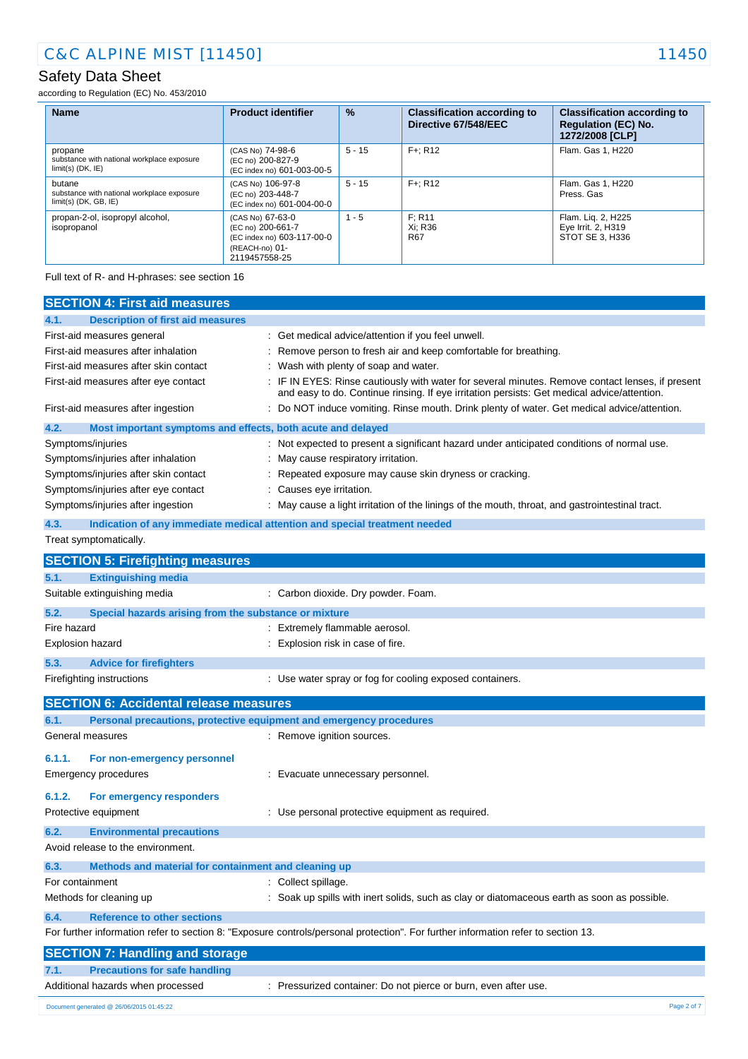according to Regulation (EC) No. 453/2010

| <b>Name</b>                                                                     | <b>Product identifier</b>                                                                              | $\frac{9}{6}$ | <b>Classification according to</b><br>Directive 67/548/EEC | <b>Classification according to</b><br><b>Regulation (EC) No.</b><br>1272/2008 [CLP] |
|---------------------------------------------------------------------------------|--------------------------------------------------------------------------------------------------------|---------------|------------------------------------------------------------|-------------------------------------------------------------------------------------|
| propane<br>substance with national workplace exposure<br>$limit(s)$ (DK, $IE$ ) | (CAS No) 74-98-6<br>(EC no) 200-827-9<br>(EC index no) 601-003-00-5                                    | $5 - 15$      | $F +: R12$                                                 | Flam. Gas 1, H220                                                                   |
| butane<br>substance with national workplace exposure<br>$limit(s)$ (DK, GB, IE) | (CAS No) 106-97-8<br>(EC no) 203-448-7<br>(EC index no) 601-004-00-0                                   | $5 - 15$      | $F +: R12$                                                 | Flam. Gas 1, H220<br>Press, Gas                                                     |
| propan-2-ol, isopropyl alcohol,<br>isopropanol                                  | (CAS No) 67-63-0<br>(EC no) 200-661-7<br>(EC index no) 603-117-00-0<br>(REACH-no) 01-<br>2119457558-25 | $1 - 5$       | F: R11<br>Xi: R36<br>R67                                   | Flam. Lig. 2, H225<br>Eye Irrit. 2, H319<br>STOT SE 3, H336                         |

Full text of R- and H-phrases: see section 16

|                         | <b>SECTION 4: First aid measures</b>                                |                                                                                                                                                                                               |
|-------------------------|---------------------------------------------------------------------|-----------------------------------------------------------------------------------------------------------------------------------------------------------------------------------------------|
| 4.1.                    | <b>Description of first aid measures</b>                            |                                                                                                                                                                                               |
|                         | First-aid measures general                                          | : Get medical advice/attention if you feel unwell.                                                                                                                                            |
|                         | First-aid measures after inhalation                                 | Remove person to fresh air and keep comfortable for breathing.                                                                                                                                |
|                         | First-aid measures after skin contact                               | Wash with plenty of soap and water.                                                                                                                                                           |
|                         | First-aid measures after eye contact                                | IF IN EYES: Rinse cautiously with water for several minutes. Remove contact lenses, if present<br>and easy to do. Continue rinsing. If eye irritation persists: Get medical advice/attention. |
|                         | First-aid measures after ingestion                                  | Do NOT induce vomiting. Rinse mouth. Drink plenty of water. Get medical advice/attention.                                                                                                     |
| 4.2.                    | Most important symptoms and effects, both acute and delayed         |                                                                                                                                                                                               |
|                         | Symptoms/injuries                                                   | : Not expected to present a significant hazard under anticipated conditions of normal use.                                                                                                    |
|                         | Symptoms/injuries after inhalation                                  | May cause respiratory irritation.                                                                                                                                                             |
|                         | Symptoms/injuries after skin contact                                | Repeated exposure may cause skin dryness or cracking.                                                                                                                                         |
|                         | Symptoms/injuries after eye contact                                 | Causes eye irritation.                                                                                                                                                                        |
|                         | Symptoms/injuries after ingestion                                   | May cause a light irritation of the linings of the mouth, throat, and gastrointestinal tract.                                                                                                 |
| 4.3.                    |                                                                     | Indication of any immediate medical attention and special treatment needed                                                                                                                    |
|                         | Treat symptomatically.                                              |                                                                                                                                                                                               |
|                         | <b>SECTION 5: Firefighting measures</b>                             |                                                                                                                                                                                               |
| 5.1.                    | <b>Extinguishing media</b>                                          |                                                                                                                                                                                               |
|                         | Suitable extinguishing media                                        | : Carbon dioxide. Dry powder. Foam.                                                                                                                                                           |
| 5.2.                    | Special hazards arising from the substance or mixture               |                                                                                                                                                                                               |
| Fire hazard             |                                                                     | : Extremely flammable aerosol.                                                                                                                                                                |
| <b>Explosion hazard</b> |                                                                     | Explosion risk in case of fire.                                                                                                                                                               |
|                         |                                                                     |                                                                                                                                                                                               |
| 5.3.                    | <b>Advice for firefighters</b>                                      |                                                                                                                                                                                               |
|                         | Firefighting instructions                                           | : Use water spray or fog for cooling exposed containers.                                                                                                                                      |
|                         | <b>SECTION 6: Accidental release measures</b>                       |                                                                                                                                                                                               |
| 6.1.                    | Personal precautions, protective equipment and emergency procedures |                                                                                                                                                                                               |
|                         | General measures                                                    | : Remove ignition sources.                                                                                                                                                                    |
| 6.1.1.                  | For non-emergency personnel                                         |                                                                                                                                                                                               |
|                         | Emergency procedures                                                | Evacuate unnecessary personnel.                                                                                                                                                               |
|                         |                                                                     |                                                                                                                                                                                               |
| 6.1.2.                  | For emergency responders                                            |                                                                                                                                                                                               |
|                         | Protective equipment                                                | : Use personal protective equipment as required.                                                                                                                                              |
| 6.2.                    | <b>Environmental precautions</b>                                    |                                                                                                                                                                                               |
|                         | Avoid release to the environment.                                   |                                                                                                                                                                                               |
| 6.3.                    | Methods and material for containment and cleaning up                |                                                                                                                                                                                               |
| For containment         |                                                                     | Collect spillage.                                                                                                                                                                             |
|                         | Methods for cleaning up                                             | Soak up spills with inert solids, such as clay or diatomaceous earth as soon as possible.                                                                                                     |
| 6.4.                    | <b>Reference to other sections</b>                                  |                                                                                                                                                                                               |
|                         |                                                                     | For further information refer to section 8: "Exposure controls/personal protection". For further information refer to section 13.                                                             |
|                         | <b>SECTION 7: Handling and storage</b>                              |                                                                                                                                                                                               |
| 7.1.                    | <b>Precautions for safe handling</b>                                |                                                                                                                                                                                               |
|                         | Additional hazards when processed                                   | : Pressurized container: Do not pierce or burn, even after use.                                                                                                                               |
|                         |                                                                     |                                                                                                                                                                                               |
|                         | Document generated @ 26/06/2015 01:45:22                            | Page 2 of 7                                                                                                                                                                                   |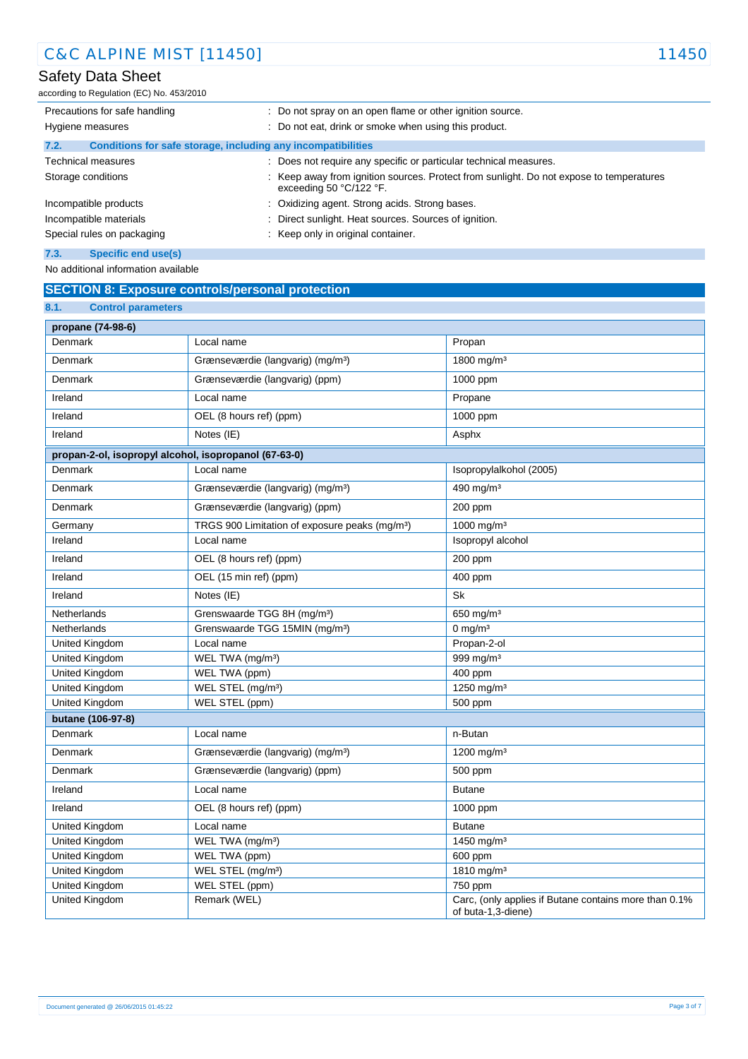according to Regulation (EC) No. 453/2010

| Precautions for safe handling                                        | : Do not spray on an open flame or other ignition source.                                                          |
|----------------------------------------------------------------------|--------------------------------------------------------------------------------------------------------------------|
| Hygiene measures                                                     | : Do not eat, drink or smoke when using this product.                                                              |
| Conditions for safe storage, including any incompatibilities<br>7.2. |                                                                                                                    |
| <b>Technical measures</b>                                            | : Does not require any specific or particular technical measures.                                                  |
| Storage conditions                                                   | : Keep away from ignition sources. Protect from sunlight. Do not expose to temperatures<br>exceeding 50 °C/122 °F. |
| Incompatible products                                                | : Oxidizing agent. Strong acids. Strong bases.                                                                     |
| Incompatible materials                                               | Direct sunlight. Heat sources. Sources of ignition.                                                                |
| Special rules on packaging                                           | : Keep only in original container.                                                                                 |
| 7.3.<br>Specific end use(s)                                          |                                                                                                                    |

No additional information available

## **SECTION 8: Exposure controls/personal protection**

| 8.1.<br><b>Control parameters</b>                     |                                                            |                                                       |
|-------------------------------------------------------|------------------------------------------------------------|-------------------------------------------------------|
| propane (74-98-6)                                     |                                                            |                                                       |
| Denmark                                               | Local name                                                 | Propan                                                |
| Denmark                                               | Grænseværdie (langvarig) (mg/m <sup>3</sup> )              | 1800 mg/m <sup>3</sup>                                |
| Denmark                                               | Grænseværdie (langvarig) (ppm)                             | 1000 ppm                                              |
| Ireland                                               | Local name                                                 | Propane                                               |
| Ireland                                               | OEL (8 hours ref) (ppm)                                    | 1000 ppm                                              |
| Ireland                                               | Notes (IE)                                                 | Asphx                                                 |
| propan-2-ol, isopropyl alcohol, isopropanol (67-63-0) |                                                            |                                                       |
| Denmark                                               | Local name                                                 | Isopropylalkohol (2005)                               |
| Denmark                                               | Grænseværdie (langvarig) (mg/m <sup>3</sup> )              | 490 mg/m <sup>3</sup>                                 |
| Denmark                                               | Grænseværdie (langvarig) (ppm)                             | 200 ppm                                               |
| Germany                                               | TRGS 900 Limitation of exposure peaks (mg/m <sup>3</sup> ) | 1000 mg/m <sup>3</sup>                                |
| Ireland                                               | Local name                                                 | Isopropyl alcohol                                     |
| Ireland                                               | OEL (8 hours ref) (ppm)                                    | 200 ppm                                               |
| Ireland                                               | OEL (15 min ref) (ppm)                                     | 400 ppm                                               |
| Ireland                                               | Notes (IE)                                                 | Sk                                                    |
| Netherlands                                           | Grenswaarde TGG 8H (mg/m <sup>3</sup> )                    | 650 mg/m <sup>3</sup>                                 |
| Netherlands                                           | Grenswaarde TGG 15MIN (mg/m <sup>3</sup> )                 | 0 mg/m $3$                                            |
| United Kingdom                                        | Local name                                                 | Propan-2-ol                                           |
| United Kingdom                                        | WEL TWA (mg/m <sup>3</sup> )                               | 999 mg/m <sup>3</sup>                                 |
| <b>United Kingdom</b>                                 | WEL TWA (ppm)                                              | 400 ppm                                               |
| United Kingdom                                        | WEL STEL (mg/m <sup>3</sup> )                              | 1250 mg/m <sup>3</sup>                                |
| <b>United Kingdom</b>                                 | WEL STEL (ppm)                                             | 500 ppm                                               |
| butane (106-97-8)                                     |                                                            |                                                       |
| Denmark                                               | Local name                                                 | n-Butan                                               |
| Denmark                                               | Grænseværdie (langvarig) (mg/m <sup>3</sup> )              | 1200 mg/m <sup>3</sup>                                |
| Denmark                                               | Grænseværdie (langvarig) (ppm)                             | 500 ppm                                               |
| Ireland                                               | Local name                                                 | <b>Butane</b>                                         |
| Ireland                                               | OEL (8 hours ref) (ppm)                                    | 1000 ppm                                              |
| <b>United Kingdom</b>                                 | Local name                                                 | <b>Butane</b>                                         |
| United Kingdom                                        | WEL TWA (mg/m <sup>3</sup> )                               | 1450 mg/m <sup>3</sup>                                |
| United Kingdom                                        | WEL TWA (ppm)                                              | 600 ppm                                               |
| United Kingdom                                        | WEL STEL (mg/m <sup>3</sup> )                              | 1810 mg/m <sup>3</sup>                                |
| United Kingdom                                        | WEL STEL (ppm)                                             | 750 ppm                                               |
| <b>United Kingdom</b>                                 | Remark (WEL)                                               | Carc, (only applies if Butane contains more than 0.1% |
|                                                       |                                                            | of buta-1,3-diene)                                    |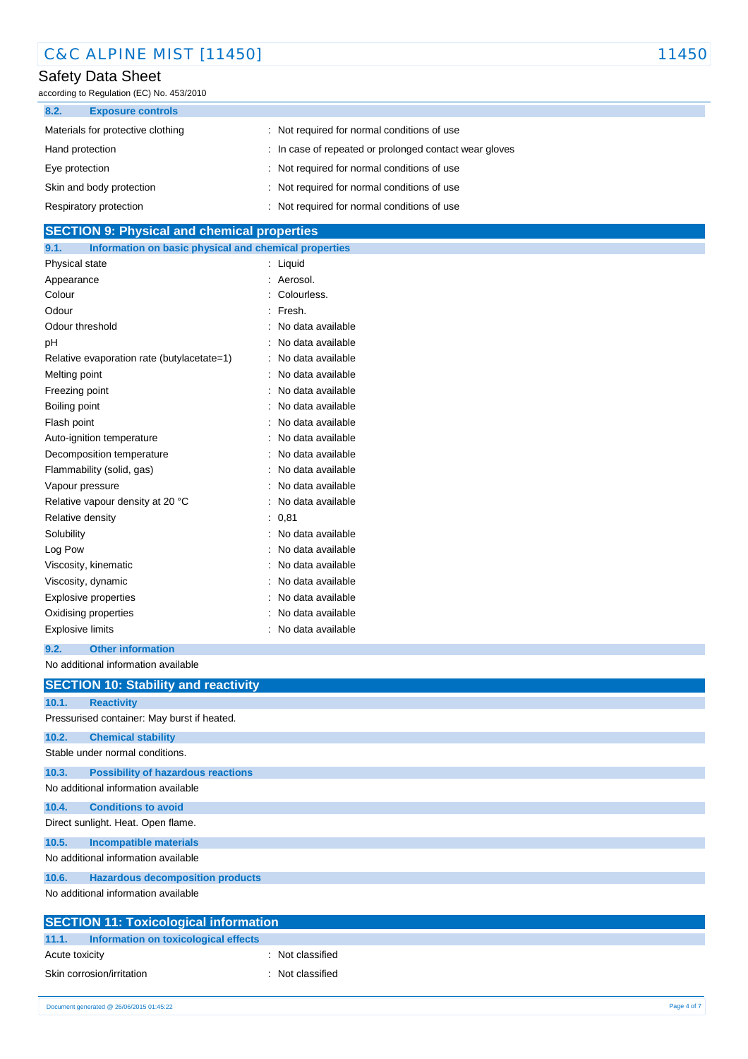| <b>C&amp;C ALPINE MIST [11450]</b> | 11450 |
|------------------------------------|-------|
|------------------------------------|-------|

according to Regulation (EC) No. 453/2010

| 8.2.<br><b>Exposure controls</b>  |                                                        |
|-----------------------------------|--------------------------------------------------------|
| Materials for protective clothing | Not required for normal conditions of use              |
| Hand protection                   | : In case of repeated or prolonged contact wear gloves |
| Eye protection                    | : Not required for normal conditions of use            |
| Skin and body protection          | : Not required for normal conditions of use            |
| Respiratory protection            | Not required for normal conditions of use              |

## **SECTION 9: Physical and chemical properties**

| 9.1.                    | Information on basic physical and chemical properties |                |                   |
|-------------------------|-------------------------------------------------------|----------------|-------------------|
| Physical state          |                                                       | $\ddot{\cdot}$ | Liquid            |
| Appearance              |                                                       |                | Aerosol           |
| Colour                  |                                                       |                | Colourless.       |
| Odour                   |                                                       |                | Fresh.            |
| Odour threshold         |                                                       |                | No data available |
| рH                      |                                                       |                | No data available |
|                         | Relative evaporation rate (butylacetate=1)            |                | No data available |
| Melting point           |                                                       |                | No data available |
| Freezing point          |                                                       |                | No data available |
| Boiling point           |                                                       |                | No data available |
| Flash point             |                                                       |                | No data available |
|                         | Auto-ignition temperature                             |                | No data available |
|                         | Decomposition temperature                             |                | No data available |
|                         | Flammability (solid, gas)                             |                | No data available |
| Vapour pressure         |                                                       |                | No data available |
|                         | Relative vapour density at 20 °C                      |                | No data available |
| Relative density        |                                                       |                | 0,81              |
| Solubility              |                                                       |                | No data available |
| Log Pow                 |                                                       |                | No data available |
|                         | Viscosity, kinematic                                  |                | No data available |
| Viscosity, dynamic      |                                                       |                | No data available |
|                         | <b>Explosive properties</b>                           |                | No data available |
|                         | Oxidising properties                                  |                | No data available |
| <b>Explosive limits</b> |                                                       |                | No data available |

#### **9.2. Other information**

No additional information available

|       | <b>SECTION 10: Stability and reactivity</b>                        |
|-------|--------------------------------------------------------------------|
|       |                                                                    |
| 10.1. | <b>Reactivity</b>                                                  |
|       | Pressurised container: May burst if heated.                        |
| 10.2. | <b>Chemical stability</b>                                          |
|       | Stable under normal conditions.                                    |
| 10.3. | <b>Possibility of hazardous reactions</b>                          |
|       | No additional information available                                |
| 10.4. | <b>Conditions to avoid</b>                                         |
|       | Direct sunlight. Heat. Open flame.                                 |
| 10.5. | <b>Incompatible materials</b>                                      |
|       | No additional information available                                |
| 10.6. | <b>Hazardous decomposition products</b>                            |
|       | No additional information available                                |
|       | $O$ E $\triangle$ TI $\triangle$ MI 44. Tautaalantaal tufamuattan. |

| <b>SECTION 11: Toxicological information</b> |                  |
|----------------------------------------------|------------------|
| 11.1. Information on toxicological effects   |                  |
| Acute toxicity                               | : Not classified |
| Skin corrosion/irritation                    | : Not classified |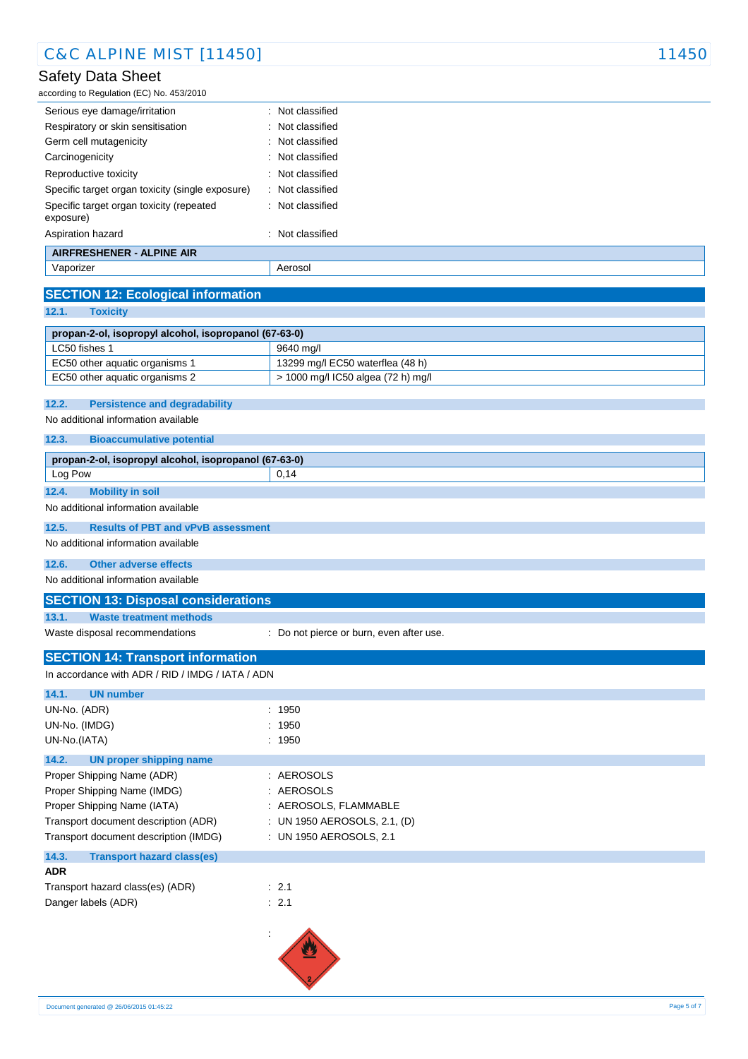according to Regulation (EC) No. 453/2010

| Serious eye damage/irritation                         | : Not classified |
|-------------------------------------------------------|------------------|
| Respiratory or skin sensitisation                     | : Not classified |
| Germ cell mutagenicity                                | : Not classified |
| Carcinogenicity                                       | : Not classified |
| Reproductive toxicity                                 | : Not classified |
| Specific target organ toxicity (single exposure)      | : Not classified |
| Specific target organ toxicity (repeated<br>exposure) | : Not classified |
| Aspiration hazard                                     | : Not classified |
| <b>AIRFRESHENER - ALPINE AIR</b>                      |                  |
| Vaporizer                                             | Aerosol          |

## **SECTION 12: Ecological information**

**12.1. Toxicity**

| propan-2-ol, isopropyl alcohol, isopropanol (67-63-0) |                                    |  |  |
|-------------------------------------------------------|------------------------------------|--|--|
| LC50 fishes 1                                         | 9640 ma/l                          |  |  |
| EC50 other aquatic organisms 1                        | 13299 mg/l EC50 waterflea (48 h)   |  |  |
| EC50 other aquatic organisms 2                        | > 1000 mg/l IC50 algea (72 h) mg/l |  |  |

#### **12.2. Persistence and degradability**

No additional information available

**12.3. Bioaccumulative potential**

| propan-2-ol, isopropyl alcohol, isopropanol (67-63-0) |                                           |      |
|-------------------------------------------------------|-------------------------------------------|------|
| Log Pow                                               |                                           | 0.14 |
| 12.4.                                                 | <b>Mobility in soil</b>                   |      |
| No additional information available                   |                                           |      |
| 12.5.                                                 | <b>Results of PBT and vPvB assessment</b> |      |
| No additional information available                   |                                           |      |

## **12.6. Other adverse effects**

No additional information available

#### **SECTION 13: Disposal considerations**

**13.1. Waste treatment methods**

Waste disposal recommendations : Do not pierce or burn, even after use.

## **SECTION 14: Transport information**

| In accordance with ADR / RID / IMDG / IATA / ADN |                              |  |
|--------------------------------------------------|------------------------------|--|
| 14.1.<br><b>UN number</b>                        |                              |  |
| UN-No. (ADR)                                     | : 1950                       |  |
| UN-No. (IMDG)                                    | : 1950                       |  |
| UN-No.(IATA)                                     | : 1950                       |  |
| 14.2.<br>UN proper shipping name                 |                              |  |
| Proper Shipping Name (ADR)                       | : AEROSOLS                   |  |
| Proper Shipping Name (IMDG)                      | : AEROSOLS                   |  |
| Proper Shipping Name (IATA)                      | : AEROSOLS, FLAMMABLE        |  |
| Transport document description (ADR)             | : UN 1950 AEROSOLS, 2.1, (D) |  |
| Transport document description (IMDG)            | : UN 1950 AEROSOLS, 2.1      |  |
| 14.3.<br><b>Transport hazard class(es)</b>       |                              |  |
| <b>ADR</b>                                       |                              |  |
| Transport hazard class(es) (ADR)                 | : 2.1                        |  |
| Danger labels (ADR)                              | : 2.1                        |  |
|                                                  |                              |  |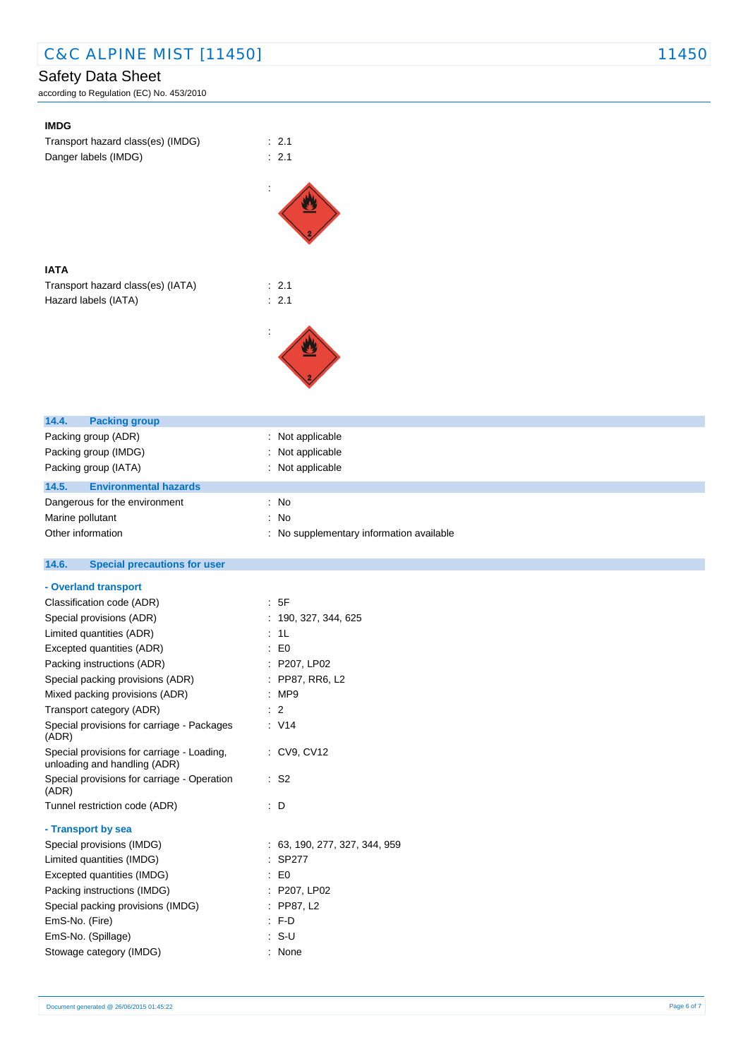according to Regulation (EC) No. 453/2010

| <b>IMDG</b>                                                                 |                                          |
|-----------------------------------------------------------------------------|------------------------------------------|
| Transport hazard class(es) (IMDG)                                           | : 2.1                                    |
| Danger labels (IMDG)                                                        | : 2.1                                    |
|                                                                             |                                          |
|                                                                             |                                          |
|                                                                             |                                          |
|                                                                             |                                          |
|                                                                             |                                          |
|                                                                             |                                          |
| <b>IATA</b>                                                                 |                                          |
| Transport hazard class(es) (IATA)                                           | : 2.1                                    |
| Hazard labels (IATA)                                                        | : 2.1                                    |
|                                                                             |                                          |
|                                                                             |                                          |
|                                                                             |                                          |
|                                                                             |                                          |
|                                                                             |                                          |
|                                                                             |                                          |
|                                                                             |                                          |
| 14.4.<br><b>Packing group</b>                                               |                                          |
| Packing group (ADR)<br>Packing group (IMDG)                                 | : Not applicable<br>Not applicable       |
| Packing group (IATA)                                                        | : Not applicable                         |
|                                                                             |                                          |
| 14.5.<br><b>Environmental hazards</b>                                       |                                          |
| Dangerous for the environment                                               | : No                                     |
| Marine pollutant<br>Other information                                       | $:$ No                                   |
|                                                                             | : No supplementary information available |
|                                                                             |                                          |
| 14.6.<br><b>Special precautions for user</b>                                |                                          |
|                                                                             |                                          |
| - Overland transport                                                        |                                          |
| Classification code (ADR)                                                   | : 5F                                     |
| Special provisions (ADR)                                                    | : 190, 327, 344, 625                     |
| Limited quantities (ADR)                                                    | : 1L                                     |
| Excepted quantities (ADR)                                                   | $\therefore$ EO                          |
| Packing instructions (ADR)                                                  | : P207, LP02                             |
| Special packing provisions (ADR)                                            | : PP87, RR6, L2<br>: MP9                 |
| Mixed packing provisions (ADR)<br>Transport category (ADR)                  | $\therefore$ 2                           |
| Special provisions for carriage - Packages                                  | : V14                                    |
| (ADR)<br>Special provisions for carriage - Loading,                         | : CV9, CV12                              |
| unloading and handling (ADR)<br>Special provisions for carriage - Operation | $\therefore$ S2                          |
| (ADR)<br>Tunnel restriction code (ADR)                                      | $\therefore$ D                           |
|                                                                             |                                          |
| - Transport by sea                                                          |                                          |
| Special provisions (IMDG)                                                   | : 63, 190, 277, 327, 344, 959            |
| Limited quantities (IMDG)                                                   | : SP277                                  |
| Excepted quantities (IMDG)                                                  | $\therefore$ EO                          |
| Packing instructions (IMDG)                                                 | : P207, LP02                             |
| Special packing provisions (IMDG)                                           | : PP87, L2<br>F.D                        |
| EmS-No. (Fire)<br>EmS-No. (Spillage)                                        | $: S-U$                                  |